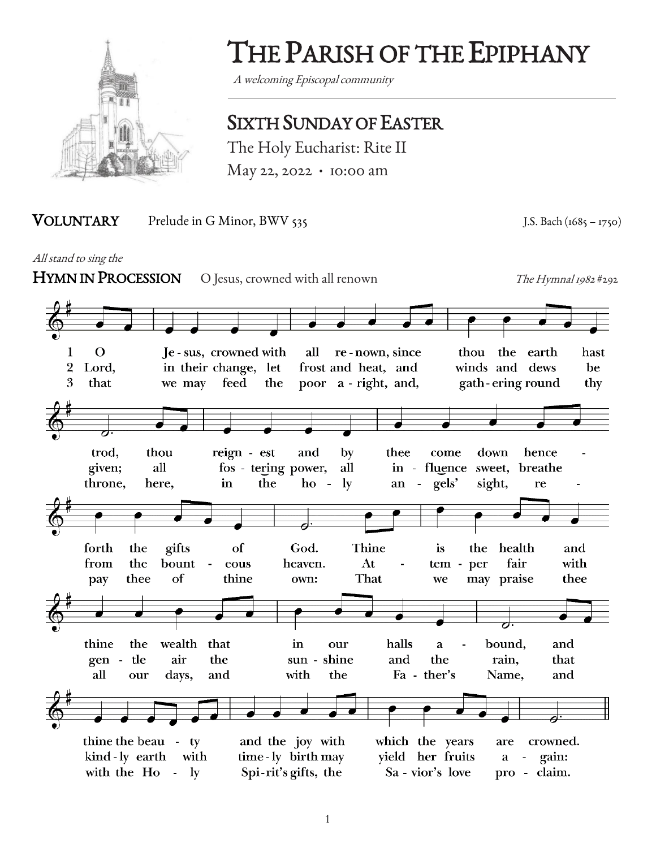

# THE PARISH OF THE EPIPHANY

A welcoming Episcopal community

# SIXTH SUNDAY OF EASTER

 The Holy Eucharist: Rite II May 22, 2022 • 10:00 am

# **VOLUNTARY** Prelude in G Minor, BWV 535 J.S. Bach (1685 – 1750)

All stand to sing the

HYMN IN PROCESSION O Jesus, crowned with all renown The Hymnal 1982 #292  $\mathbf{O}$ the 1 Je - sus, crowned with all re-nown, since thou earth hast  $\overline{2}$ Lord. in their change, frost and heat, and winds and dews let be 3 that we may feed the poor a - right, and, gath-ering round thy trod, thou reign - est and by thee come down hence all all given; fos - tering power, in - fluence sweet, breathe gels' throne, here, in the ho - $\mathbf{I}\mathbf{y}$ sight, an  $\sim$ re forth the gifts of God. Thine the health is and from the bount heaven. At fair with  $\mathbb{Z}^2$ eous tem per That thee of thine own: may praise thee pay we thine wealth that in halls bound. the  $\overline{a}$ and our gen tle air the sun - shine and the rain, that all days, and with the Fa - ther's Name, and our which the years thine the beau - ty and the joy with crowned. are kind - ly earth with time - ly birth may vield her fruits  $\mathcal{L}_{\mathbf{r}}$ gain: a with the Ho - ly Spi-rit's gifts, the Sa - vior's love pro - claim.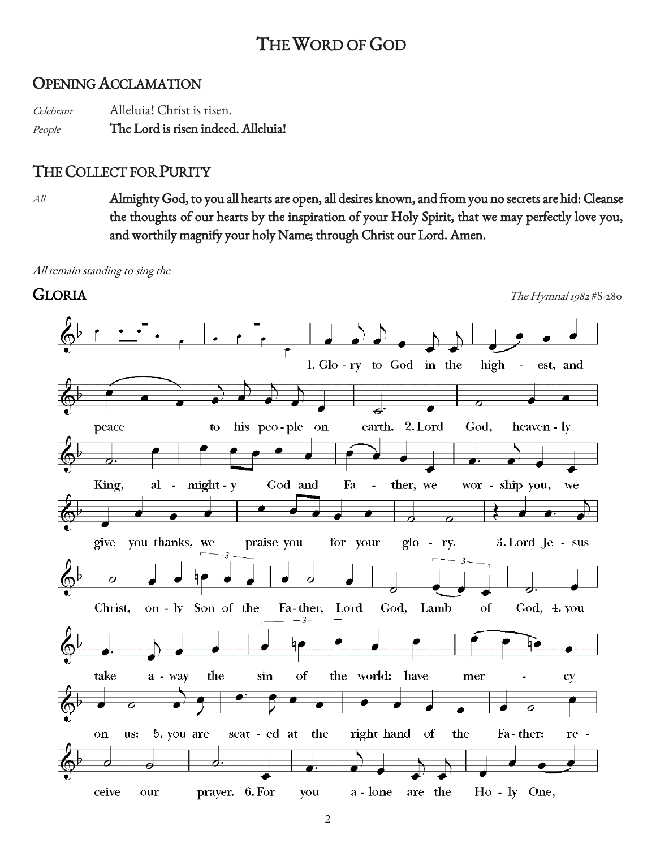# THE WORD OF GOD

### OPENING ACCLAMATION

| Celebrant | Alleluia! Christ is risen.          |
|-----------|-------------------------------------|
| People    | The Lord is risen indeed. Alleluia! |

### THE COLLECT FOR PURITY

All Almighty God, to you all hearts are open, all desires known, and from you no secrets are hid: Cleanse the thoughts of our hearts by the inspiration of your Holy Spirit, that we may perfectly love you, and worthily magnify your holy Name; through Christ our Lord. Amen.

All remain standing to sing the

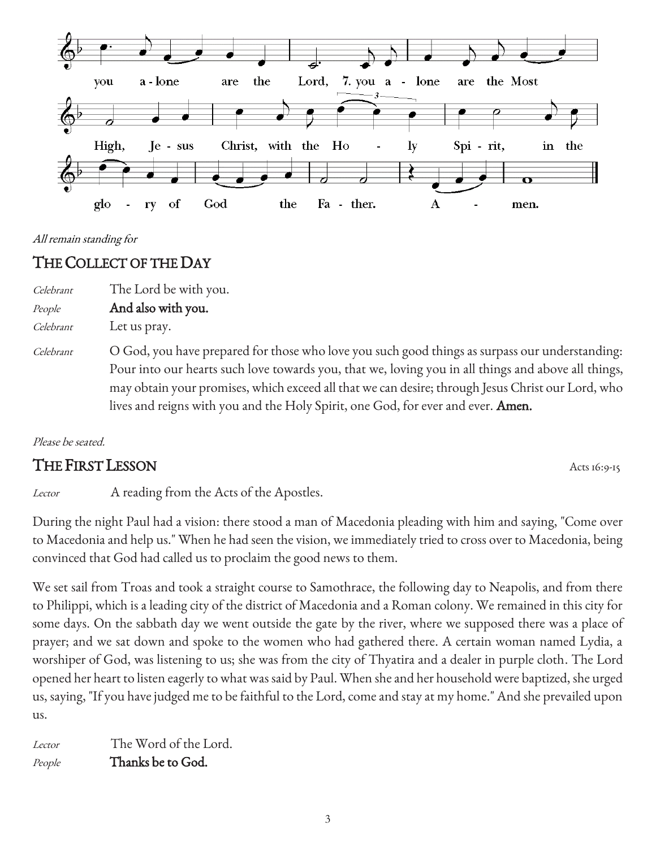

All remain standing for

### THE COLLECT OF THE DAY

Celebrant The Lord be with you.

People **And also with you.** 

Celebrant Let us pray.

Celebrant O God, you have prepared for those who love you such good things as surpass our understanding: Pour into our hearts such love towards you, that we, loving you in all things and above all things, may obtain your promises, which exceed all that we can desire; through Jesus Christ our Lord, who lives and reigns with you and the Holy Spirit, one God, for ever and ever. Amen.

Please be seated.

# THE FIRST LESSON  $\overline{A}$  acts 16:9-15

Lector A reading from the Acts of the Apostles.

During the night Paul had a vision: there stood a man of Macedonia pleading with him and saying, "Come over to Macedonia and help us." When he had seen the vision, we immediately tried to cross over to Macedonia, being convinced that God had called us to proclaim the good news to them.

We set sail from Troas and took a straight course to Samothrace, the following day to Neapolis, and from there to Philippi, which is a leading city of the district of Macedonia and a Roman colony. We remained in this city for some days. On the sabbath day we went outside the gate by the river, where we supposed there was a place of prayer; and we sat down and spoke to the women who had gathered there. A certain woman named Lydia, a worshiper of God, was listening to us; she was from the city of Thyatira and a dealer in purple cloth. The Lord opened her heart to listen eagerly to what was said by Paul. When she and her household were baptized, she urged us, saying, "If you have judged me to be faithful to the Lord, come and stay at my home." And she prevailed upon us.

Lector The Word of the Lord. People Thanks be to God.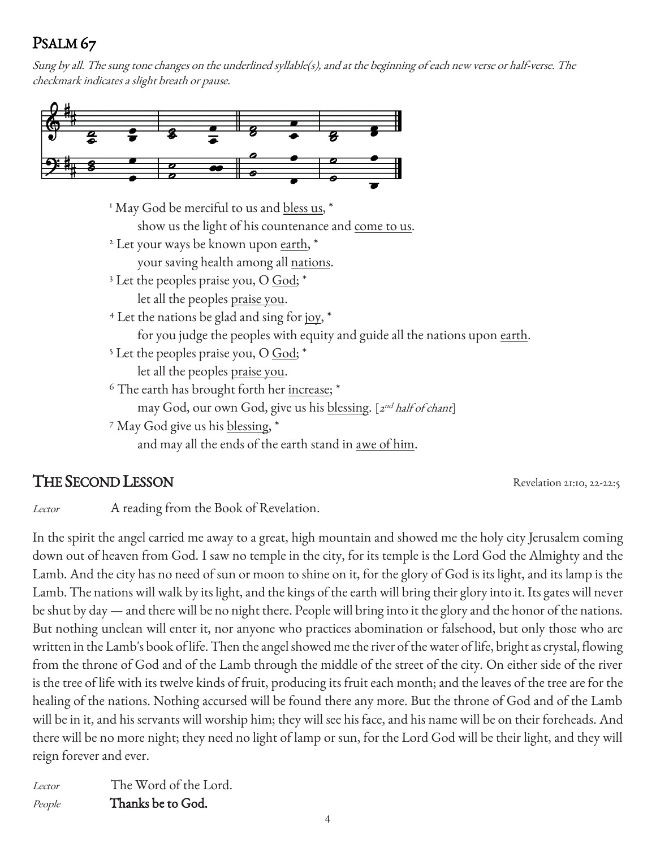# PSALM 67

Sung by all. The sung tone changes on the underlined syllable(s), and at the beginning of each new verse or half-verse. The checkmark indicates a slight breath or pause.



<sup>1</sup> May God be merciful to us and <u>bless us</u>,  $^*$  show us the light of his countenance and come to us. <sup>2</sup> Let your ways be known upon earth, \* your saving health among all nations. <sup>3</sup> Let the peoples praise you, O God; \* let all the peoples praise you. <sup>4</sup> Let the nations be glad and sing for joy, \* for you judge the peoples with equity and guide all the nations upon earth. <sup>5</sup> Let the peoples praise you, O God; \* let all the peoples praise you. <sup>6</sup> The earth has brought forth her increase; \* may God, our own God, give us his <u>blessing</u>. [2<sup>nd</sup> half of chant] <sup>7</sup> May God give us his blessing, \* and may all the ends of the earth stand in <u>awe of him</u>.

# THE SECOND LESSON Revelation 21:10, 22-22:5

Lector A reading from the Book of Revelation.

In the spirit the angel carried me away to a great, high mountain and showed me the holy city Jerusalem coming down out of heaven from God. I saw no temple in the city, for its temple is the Lord God the Almighty and the Lamb. And the city has no need of sun or moon to shine on it, for the glory of God is its light, and its lamp is the Lamb. The nations will walk by its light, and the kings of the earth will bring their glory into it. Its gates will never be shut by day — and there will be no night there. People will bring into it the glory and the honor of the nations. But nothing unclean will enter it, nor anyone who practices abomination or falsehood, but only those who are written in the Lamb's book of life.Then the angel showed me the river of the water of life, bright as crystal, flowing from the throne of God and of the Lamb through the middle of the street of the city. On either side of the river is the tree of life with its twelve kinds of fruit, producing its fruit each month; and the leaves of the tree are for the healing of the nations. Nothing accursed will be found there any more. But the throne of God and of the Lamb will be in it, and his servants will worship him; they will see his face, and his name will be on their foreheads. And there will be no more night; they need no light of lamp or sun, for the Lord God will be their light, and they will reign forever and ever.

Lector The Word of the Lord. People Thanks be to God.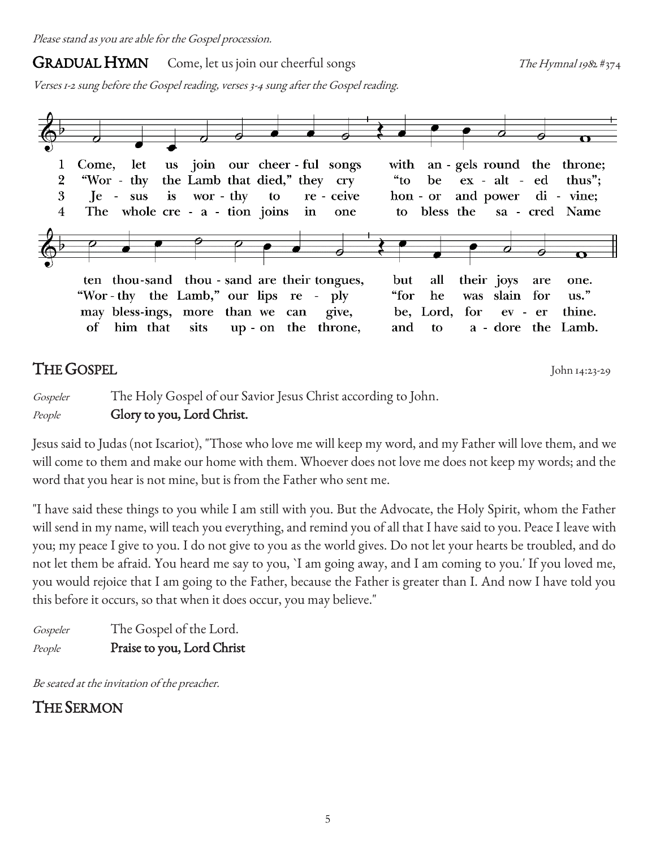### $\text{GRADUAL HYMN} \quad$  Come, let us join our cheerful songs  $\text{The } H\text{ymnal 1982}$  #374

Verses 1-2 sung before the Gospel reading, verses 3-4 sung after the Gospel reading.



# THE GOSPEL John 14:23-29

Gospeler The Holy Gospel of our Savior Jesus Christ according to John. People **Glory to you, Lord Christ.** 

Jesus said to Judas (not Iscariot), "Those who love me will keep my word, and my Father will love them, and we will come to them and make our home with them. Whoever does not love me does not keep my words; and the word that you hear is not mine, but is from the Father who sent me.

"I have said these things to you while I am still with you. But the Advocate, the Holy Spirit, whom the Father will send in my name, will teach you everything, and remind you of all that I have said to you. Peace I leave with you; my peace I give to you. I do not give to you as the world gives. Do not let your hearts be troubled, and do not let them be afraid. You heard me say to you, `I am going away, and I am coming to you.' If you loved me, you would rejoice that I am going to the Father, because the Father is greater than I. And now I have told you this before it occurs, so that when it does occur, you may believe."

Gospeler The Gospel of the Lord. People Praise to you, Lord Christ

Be seated at the invitation of the preacher.

# THE SERMON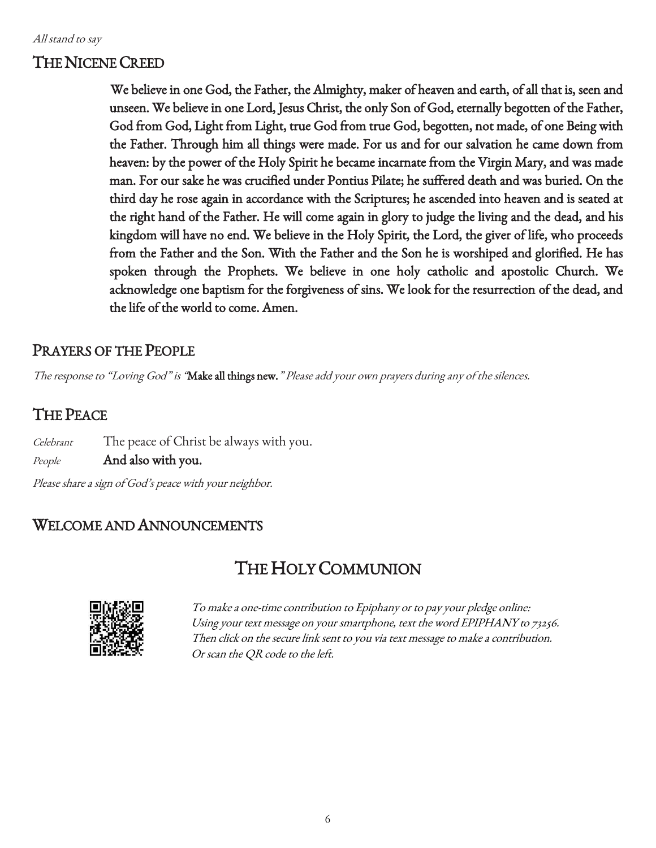All stand to say

### THE NICENE CREED

We believe in one God, the Father, the Almighty, maker of heaven and earth, of all that is, seen and unseen. We believe in one Lord, Jesus Christ, the only Son of God, eternally begotten of the Father, God from God, Light from Light, true God from true God, begotten, not made, of one Being with the Father. Through him all things were made. For us and for our salvation he came down from heaven: by the power of the Holy Spirit he became incarnate from the Virgin Mary, and was made man. For our sake he was crucified under Pontius Pilate; he suffered death and was buried. On the third day he rose again in accordance with the Scriptures; he ascended into heaven and is seated at the right hand of the Father. He will come again in glory to judge the living and the dead, and his kingdom will have no end. We believe in the Holy Spirit, the Lord, the giver of life, who proceeds from the Father and the Son. With the Father and the Son he is worshiped and glorified. He has spoken through the Prophets. We believe in one holy catholic and apostolic Church. We acknowledge one baptism for the forgiveness of sins. We look for the resurrection of the dead, and the life of the world to come. Amen.

# PRAYERS OF THE PEOPLE

The response to "Loving God" is "Make all things new." Please add your own prayers during any of the silences.

# THE PEACE

Celebrant The peace of Christ be always with you.

People **And also with you.** 

Please share a sign of God's peace with your neighbor.

# WELCOME AND ANNOUNCEMENTS

# THE HOLY COMMUNION



To make a one-time contribution to Epiphany or to pay your pledge online: Using your text message on your smartphone, text the word EPIPHANY to 73256. Then click on the secure link sent to you via text message to make a contribution. Or scan the QR code to the left.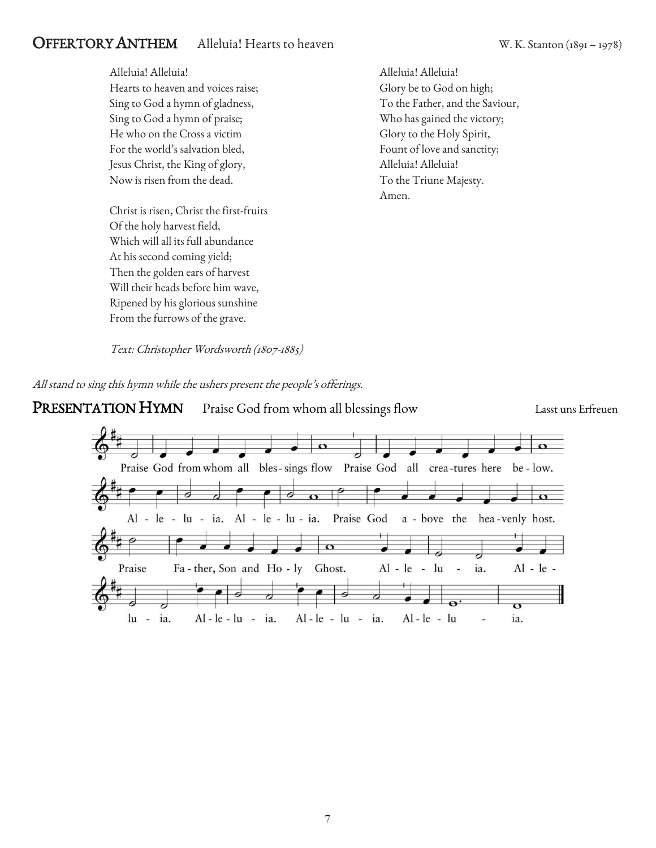Alleluia! Alleluia! Alleluia! Alleluia! Hearts to heaven and voices raise; Glory be to God on high; Sing to God a hymn of gladness, To the Father, and the Saviour, Sing to God a hymn of praise; Who has gained the victory; He who on the Cross a victim Glory to the Holy Spirit, For the world's salvation bled, Fount of love and sanctity; Jesus Christ, the King of glory, Alleluia! Alleluia! Now is risen from the dead. To the Triune Majesty.

Christ is risen, Christ the first-fruits Of the holy harvest field, Which will all its full abundance At his second coming yield; Then the golden ears of harvest Will their heads before him wave, Ripened by his glorious sunshine From the furrows of the grave.

Amen.

Text: Christopher Wordsworth (1807-1885)

All stand to sing this hymn while the ushers present the people's offerings.

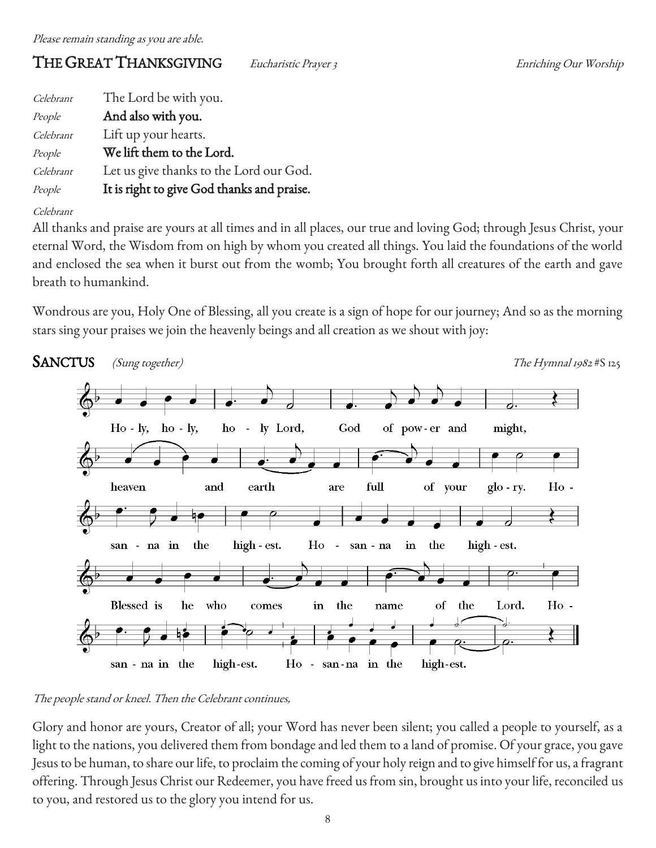# **THE GREAT THANKSGIVING** Eucharistic Prayer 3 Enriching Our Worship

| Celebrant | The Lord be with you.                      |
|-----------|--------------------------------------------|
| People    | And also with you.                         |
| Celebrant | Lift up your hearts.                       |
| People    | We lift them to the Lord.                  |
| Celebrant | Let us give thanks to the Lord our God.    |
| People    | It is right to give God thanks and praise. |

### Celebrant

All thanks and praise are yours at all times and in all places, our true and loving God; through Jesus Christ, your eternal Word, the Wisdom from on high by whom you created all things. You laid the foundations of the world and enclosed the sea when it burst out from the womb; You brought forth all creatures of the earth and gave breath to humankind.

Wondrous are you, Holy One of Blessing, all you create is a sign of hope for our journey; And so as the morning stars sing your praises we join the heavenly beings and all creation as we shout with joy:



### The people stand or kneel. Then the Celebrant continues,

Glory and honor are yours, Creator of all; your Word has never been silent; you called a people to yourself, as a light to the nations, you delivered them from bondage and led them to a land of promise. Of your grace, you gave Jesus to be human, to share our life, to proclaim the coming of your holy reign and to give himself for us, a fragrant offering. Through Jesus Christ our Redeemer, you have freed us from sin, brought us into your life, reconciled us to you, and restored us to the glory you intend for us.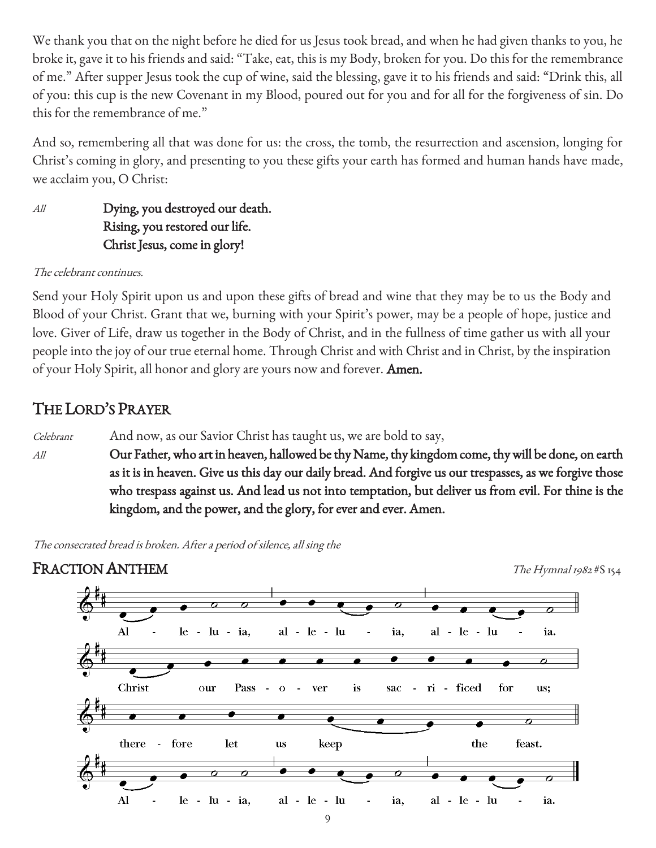We thank you that on the night before he died for us Jesus took bread, and when he had given thanks to you, he broke it, gave it to his friends and said: "Take, eat, this is my Body, broken for you. Do this for the remembrance of me." After supper Jesus took the cup of wine, said the blessing, gave it to his friends and said: "Drink this, all of you: this cup is the new Covenant in my Blood, poured out for you and for all for the forgiveness of sin. Do this for the remembrance of me."

And so, remembering all that was done for us: the cross, the tomb, the resurrection and ascension, longing for Christ's coming in glory, and presenting to you these gifts your earth has formed and human hands have made, we acclaim you, O Christ:

## All Dying, you destroyed our death. Rising, you restored our life. Christ Jesus, come in glory!

### The celebrant continues.

Send your Holy Spirit upon us and upon these gifts of bread and wine that they may be to us the Body and Blood of your Christ. Grant that we, burning with your Spirit's power, may be a people of hope, justice and love. Giver of Life, draw us together in the Body of Christ, and in the fullness of time gather us with all your people into the joy of our true eternal home. Through Christ and with Christ and in Christ, by the inspiration of your Holy Spirit, all honor and glory are yours now and forever. **Amen.** 

# THE LORD'S PRAYER

Celebrant And now, as our Savior Christ has taught us, we are bold to say, All Our Father, who art in heaven, hallowed be thy Name, thy kingdom come, thy will be done, on earth as it is in heaven. Give us this day our daily bread. And forgive us our trespasses, as we forgive those who trespass against us. And lead us not into temptation, but deliver us from evil. For thine is the kingdom, and the power, and the glory, for ever and ever. Amen.

The consecrated bread is broken. After a period of silence, all sing the

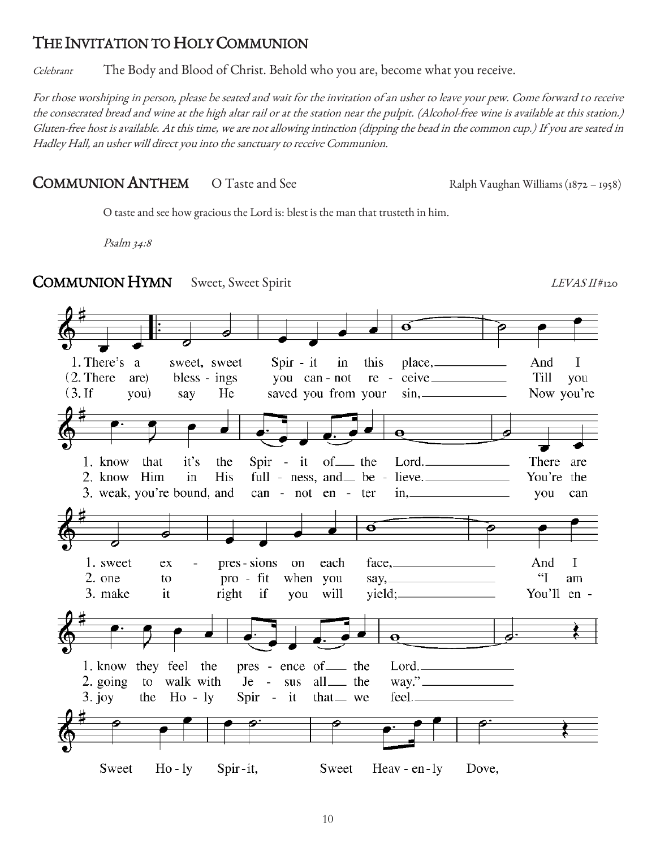# THE INVITATION TO HOLY COMMUNION

Celebrant The Body and Blood of Christ. Behold who you are, become what you receive.

For those worshiping in person, please be seated and wait for the invitation of an usher to leave your pew. Come forward to receive the consecrated bread and wine at the high altar rail or at the station near the pulpit. (Alcohol-free wine is available at this station.) Gluten-free host is available. At this time, we are not allowing intinction (dipping the bead in the common cup.) If you are seated in Hadley Hall, an usher will direct you into the sanctuary to receive Communion.

### **COMMUNION ANTHEM** O Taste and See Ralph Vaughan Williams (1872 – 1958)

O taste and see how gracious the Lord is: blest is the man that trusteth in him.

Psalm 34:8

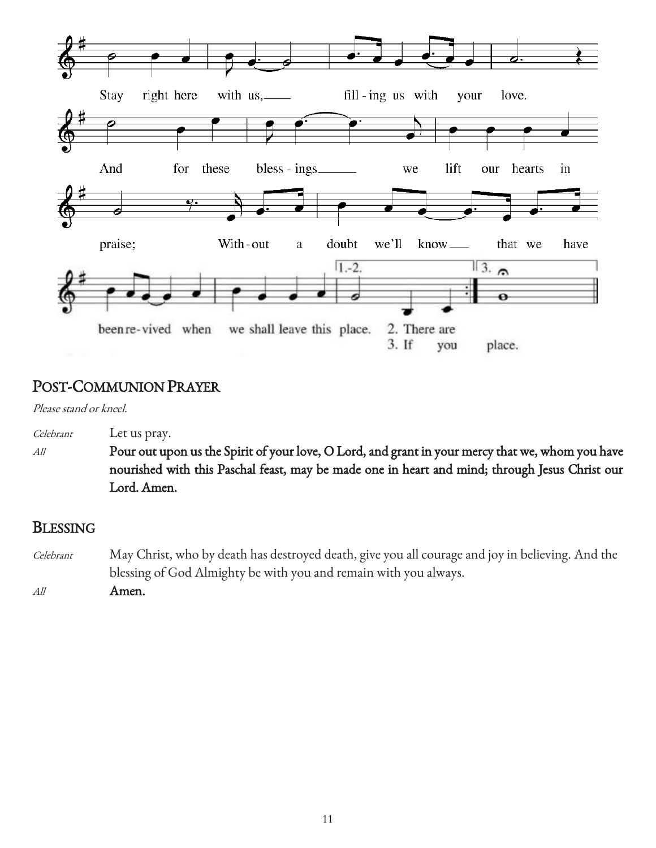

### POST-COMMUNION PRAYER

Please stand or kneel.

Celebrant Let us pray.

All Pour out upon us the Spirit of your love, O Lord, and grant in your mercy that we, whom you have nourished with this Paschal feast, may be made one in heart and mind; through Jesus Christ our Lord. Amen.

### **BLESSING**

Celebrant May Christ, who by death has destroyed death, give you all courage and joy in believing. And the blessing of God Almighty be with you and remain with you always.

All Amen.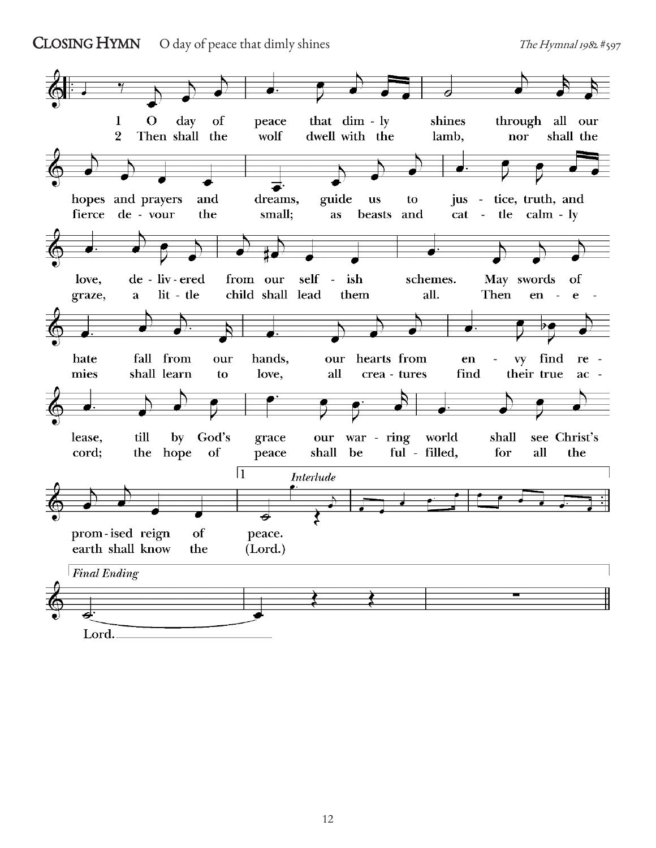CLOSING HYMN O day of peace that dimly shines The Hymnal 1982 #597

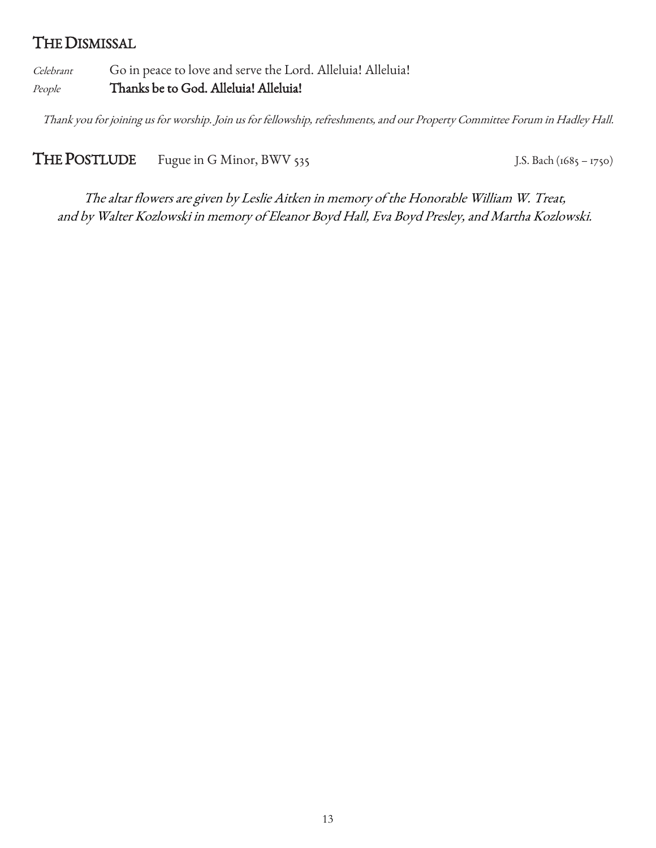# THE DISMISSAL

Celebrant Go in peace to love and serve the Lord. Alleluia! Alleluia! People Thanks be to God. Alleluia! Alleluia!

Thank you for joining us for worship. Join us for fellowship, refreshments, and our Property Committee Forum in Hadley Hall.

THE POSTLUDE Fugue in G Minor, BWV 535 J.S. Bach (1685 – 1750)

The altar flowers are given by Leslie Aitken in memory of the Honorable William W. Treat, and by Walter Kozlowski in memory of Eleanor Boyd Hall, Eva Boyd Presley, and Martha Kozlowski.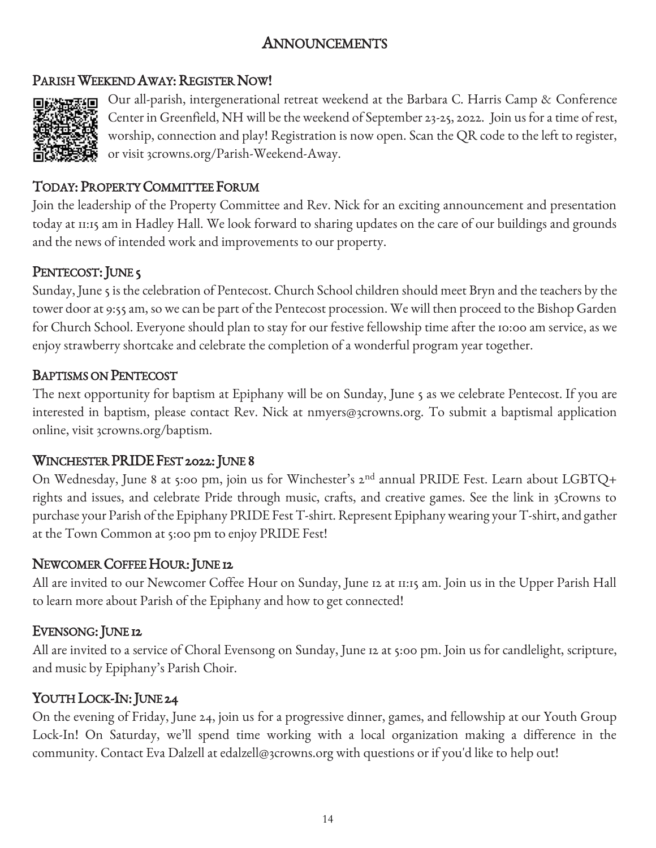# ANNOUNCEMENTS

### PARISH WEEKEND AWAY: REGISTER NOW!



Our all-parish, intergenerational retreat weekend at the Barbara C. Harris Camp & Conference Center in Greenfield, NH will be the weekend of September 23-25, 2022. Join us for a time of rest, worship, connection and play! Registration is now open. Scan the QR code to the left to register, or visit 3crowns.org/Parish-Weekend-Away.

### TODAY: PROPERTY COMMITTEE FORUM

Join the leadership of the Property Committee and Rev. Nick for an exciting announcement and presentation today at 11:15 am in Hadley Hall. We look forward to sharing updates on the care of our buildings and grounds and the news of intended work and improvements to our property.

### PENTECOST: JUNE 5

Sunday, June 5 is the celebration of Pentecost. Church School children should meet Bryn and the teachers by the tower door at 9:55 am, so we can be part of the Pentecost procession. We will then proceed to the Bishop Garden for Church School. Everyone should plan to stay for our festive fellowship time after the 10:00 am service, as we enjoy strawberry shortcake and celebrate the completion of a wonderful program year together.

### BAPTISMS ON PENTECOST

The next opportunity for baptism at Epiphany will be on Sunday, June 5 as we celebrate Pentecost. If you are interested in baptism, please contact Rev. Nick at nmyers@3crowns.org. To submit a baptismal application online, visit 3crowns.org/baptism.

### WINCHESTER PRIDE FEST 2022: JUNE 8

On Wednesday, June 8 at 5:00 pm, join us for Winchester's 2<sup>nd</sup> annual PRIDE Fest. Learn about LGBTQ+ rights and issues, and celebrate Pride through music, crafts, and creative games. See the link in 3Crowns to purchase your Parish of the Epiphany PRIDE Fest T-shirt. Represent Epiphany wearing your T-shirt, and gather at the Town Common at 5:00 pm to enjoy PRIDE Fest!

### NEWCOMER COFFEE HOUR: JUNE 12

All are invited to our Newcomer Coffee Hour on Sunday, June 12 at 11:15 am. Join us in the Upper Parish Hall to learn more about Parish of the Epiphany and how to get connected!

### EVENSONG: JUNE 12

All are invited to a service of Choral Evensong on Sunday, June 12 at 5:00 pm. Join us for candlelight, scripture, and music by Epiphany's Parish Choir.

### YOUTH LOCK-IN: JUNE 24

On the evening of Friday, June 24, join us for a progressive dinner, games, and fellowship at our Youth Group Lock-In! On Saturday, we'll spend time working with a local organization making a difference in the community. Contact Eva Dalzell at edalzell@3crowns.org with questions or if you'd like to help out!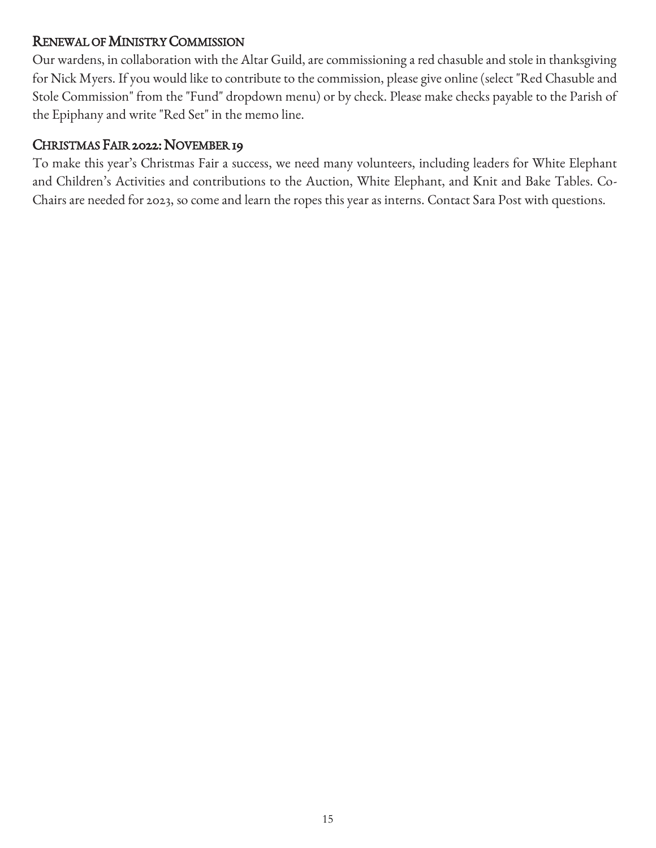### RENEWAL OF MINISTRY COMMISSION

Our wardens, in collaboration with the Altar Guild, are commissioning a red chasuble and stole in thanksgiving for Nick Myers. If you would like to contribute to the commission, please give online (select "Red Chasuble and Stole Commission" from the "Fund" dropdown menu) or by check. Please make checks payable to the Parish of the Epiphany and write "Red Set" in the memo line.

### CHRISTMAS FAIR 2022: NOVEMBER 19

To make this year's Christmas Fair a success, we need many volunteers, including leaders for White Elephant and Children's Activities and contributions to the Auction, White Elephant, and Knit and Bake Tables. Co-Chairs are needed for 2023, so come and learn the ropes this year as interns. Contact Sara Post with questions.